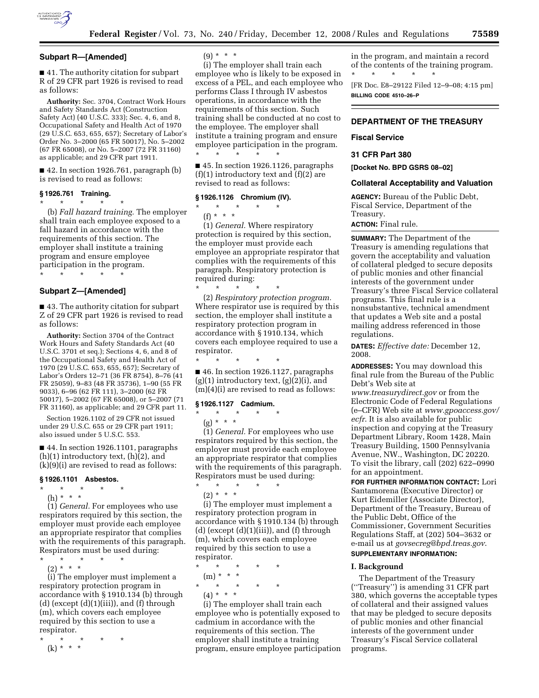

# **Subpart R—[Amended]**

■ 41. The authority citation for subpart R of 29 CFR part 1926 is revised to read as follows:

**Authority:** Sec. 3704, Contract Work Hours and Safety Standards Act (Construction Safety Act) (40 U.S.C. 333); Sec. 4, 6, and 8, Occupational Safety and Health Act of 1970 (29 U.S.C. 653, 655, 657); Secretary of Labor's Order No. 3–2000 (65 FR 50017), No. 5–2002 (67 FR 65008), or No. 5–2007 (72 FR 31160) as applicable; and 29 CFR part 1911.

■ 42. In section 1926.761, paragraph (b) is revised to read as follows:

# **§ 1926.761 Training.**

\* \* \* \* \*

(b) *Fall hazard training.* The employer shall train each employee exposed to a fall hazard in accordance with the requirements of this section. The employer shall institute a training program and ensure employee participation in the program. \* \* \* \* \*

# **Subpart Z—[Amended]**

■ 43. The authority citation for subpart Z of 29 CFR part 1926 is revised to read as follows:

**Authority:** Section 3704 of the Contract Work Hours and Safety Standards Act (40 U.S.C. 3701 et seq.); Sections 4, 6, and 8 of the Occupational Safety and Health Act of 1970 (29 U.S.C. 653, 655, 657); Secretary of Labor's Orders 12–71 (36 FR 8754), 8–76 (41 FR 25059), 9–83 (48 FR 35736), 1–90 (55 FR 9033), 6–96 (62 FR 111), 3–2000 (62 FR 50017), 5–2002 (67 FR 65008), or 5–2007 (71 FR 31160), as applicable; and 29 CFR part 11.

Section 1926.1102 of 29 CFR not issued under 29 U.S.C. 655 or 29 CFR part 1911; also issued under 5 U.S.C. 553.

■ 44. In section 1926.1101, paragraphs  $(h)(1)$  introductory text,  $(h)(2)$ , and (k)(9)(i) are revised to read as follows:

## **§ 1926.1101 Asbestos.**

- \* \* \* \* \* (h) \* \* \*
	- (1) *General.* For employees who use

respirators required by this section, the employer must provide each employee an appropriate respirator that complies with the requirements of this paragraph. Respirators must be used during:

\* \* \* \* \*  $(2) * * * *$ 

(i) The employer must implement a respiratory protection program in accordance with § 1910.134 (b) through (d) (except  $(d)(1)(iii)$ ), and  $(f)$  through (m), which covers each employee required by this section to use a respirator.

\* \* \* \* \* (k) \* \* \*

 $(9) * * * *$ 

(i) The employer shall train each employee who is likely to be exposed in excess of a PEL, and each employee who performs Class I through IV asbestos operations, in accordance with the requirements of this section. Such training shall be conducted at no cost to the employee. The employer shall institute a training program and ensure employee participation in the program.  $\star$   $\star$   $\star$   $\star$ 

■ 45. In section 1926.1126, paragraphs  $(f)(1)$  introductory text and  $(f)(2)$  are revised to read as follows:

# **§ 1926.1126 Chromium (IV).**

\* \* \* \* \*

(f) \* \* \* (1) *General.* Where respiratory protection is required by this section, the employer must provide each employee an appropriate respirator that complies with the requirements of this paragraph. Respiratory protection is required during: \* \* \* \* \*

(2) *Respiratory protection program.*  Where respirator use is required by this section, the employer shall institute a respiratory protection program in accordance with § 1910.134, which covers each employee required to use a respirator.

\* \* \* \* \*

■ 46. In section 1926.1127, paragraphs  $(g)(1)$  introductory text,  $(g)(2)(i)$ , and (m)(4)(i) are revised to read as follows:

#### **§ 1926.1127 Cadmium.**

\* \* \* \* \* (g) \* \* \*

(1) *General.* For employees who use respirators required by this section, the employer must provide each employee an appropriate respirator that complies with the requirements of this paragraph. Respirators must be used during:

 $\star$   $\qquad$   $\star$   $\qquad$   $\star$   $\qquad$   $\star$  $(2) * * * *$ 

(i) The employer must implement a respiratory protection program in accordance with § 1910.134 (b) through (d) (except  $(d)(1)(iii)$ ), and  $(f)$  through (m), which covers each employee required by this section to use a respirator.

\* \* \* \* \* (m) \* \* \* \* \* \* \* \*  $(4) * * * *$ 

(i) The employer shall train each employee who is potentially exposed to cadmium in accordance with the requirements of this section. The employer shall institute a training program, ensure employee participation in the program, and maintain a record of the contents of the training program. \* \* \* \* \*

[FR Doc. E8–29122 Filed 12–9–08; 4:15 pm] **BILLING CODE 4510–26–P** 

# **DEPARTMENT OF THE TREASURY**

## **Fiscal Service**

# **31 CFR Part 380**

**[Docket No. BPD GSRS 08–02]** 

## **Collateral Acceptability and Valuation**

**AGENCY:** Bureau of the Public Debt, Fiscal Service, Department of the Treasury.

**ACTION:** Final rule.

**SUMMARY:** The Department of the Treasury is amending regulations that govern the acceptability and valuation of collateral pledged to secure deposits of public monies and other financial interests of the government under Treasury's three Fiscal Service collateral programs. This final rule is a nonsubstantive, technical amendment that updates a Web site and a postal mailing address referenced in those regulations.

**DATES:** *Effective date:* December 12, 2008.

**ADDRESSES:** You may download this final rule from the Bureau of the Public Debt's Web site at

*www.treasurydirect.gov* or from the Electronic Code of Federal Regulations (e–CFR) Web site at *www.gpoaccess.gov/ ecfr*. It is also available for public inspection and copying at the Treasury Department Library, Room 1428, Main Treasury Building, 1500 Pennsylvania Avenue, NW., Washington, DC 20220. To visit the library, call (202) 622–0990 for an appointment.

**FOR FURTHER INFORMATION CONTACT:** Lori Santamorena (Executive Director) or Kurt Eidemiller (Associate Director), Department of the Treasury, Bureau of the Public Debt, Office of the Commissioner, Government Securities Regulations Staff, at (202) 504–3632 or e-mail us at *govsecreg@bpd.treas.gov*. **SUPPLEMENTARY INFORMATION:** 

# **I. Background**

The Department of the Treasury (''Treasury'') is amending 31 CFR part 380, which governs the acceptable types of collateral and their assigned values that may be pledged to secure deposits of public monies and other financial interests of the government under Treasury's Fiscal Service collateral programs.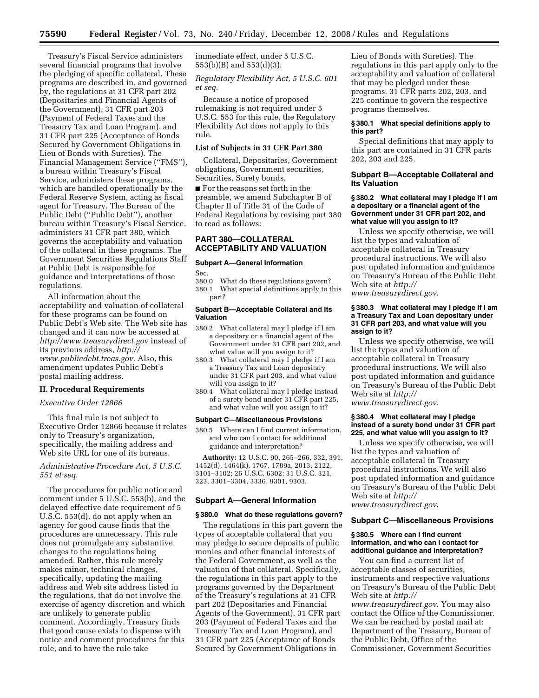Treasury's Fiscal Service administers several financial programs that involve the pledging of specific collateral. These programs are described in, and governed by, the regulations at 31 CFR part 202 (Depositaries and Financial Agents of the Government), 31 CFR part 203 (Payment of Federal Taxes and the Treasury Tax and Loan Program), and 31 CFR part 225 (Acceptance of Bonds Secured by Government Obligations in Lieu of Bonds with Sureties). The Financial Management Service (''FMS''), a bureau within Treasury's Fiscal Service, administers these programs, which are handled operationally by the Federal Reserve System, acting as fiscal agent for Treasury. The Bureau of the Public Debt (''Public Debt''), another bureau within Treasury's Fiscal Service, administers 31 CFR part 380, which governs the acceptability and valuation of the collateral in these programs. The Government Securities Regulations Staff at Public Debt is responsible for guidance and interpretations of those regulations.

All information about the acceptability and valuation of collateral for these programs can be found on Public Debt's Web site. The Web site has changed and it can now be accessed at *http://www.treasurydirect.gov* instead of its previous address, *http:// www.publicdebt.treas.gov*. Also, this amendment updates Public Debt's postal mailing address.

#### **II. Procedural Requirements**

# *Executive Order 12866*

This final rule is not subject to Executive Order 12866 because it relates only to Treasury's organization, specifically, the mailing address and Web site URL for one of its bureaus.

# *Administrative Procedure Act, 5 U.S.C. 551 et seq.*

The procedures for public notice and comment under 5 U.S.C. 553(b), and the delayed effective date requirement of 5 U.S.C. 553(d), do not apply when an agency for good cause finds that the procedures are unnecessary. This rule does not promulgate any substantive changes to the regulations being amended. Rather, this rule merely makes minor, technical changes, specifically, updating the mailing address and Web site address listed in the regulations, that do not involve the exercise of agency discretion and which are unlikely to generate public comment. Accordingly, Treasury finds that good cause exists to dispense with notice and comment procedures for this rule, and to have the rule take

immediate effect, under 5 U.S.C. 553(b)(B) and 553(d)(3).

*Regulatory Flexibility Act, 5 U.S.C. 601 et seq.* 

Because a notice of proposed rulemaking is not required under 5 U.S.C. 553 for this rule, the Regulatory Flexibility Act does not apply to this rule.

### **List of Subjects in 31 CFR Part 380**

Collateral, Depositaries, Government obligations, Government securities, Securities, Surety bonds.

■ For the reasons set forth in the preamble, we amend Subchapter B of Chapter II of Title 31 of the Code of Federal Regulations by revising part 380 to read as follows:

# **PART 380—COLLATERAL ACCEPTABILITY AND VALUATION**

# **Subpart A—General Information**

Sec.

380.0 What do these regulations govern?

380.1 What special definitions apply to this part?

# **Subpart B—Acceptable Collateral and Its Valuation**

- 380.2 What collateral may I pledge if I am a depositary or a financial agent of the Government under 31 CFR part 202, and what value will you assign to it?
- 380.3 What collateral may I pledge if I am a Treasury Tax and Loan depositary under 31 CFR part 203, and what value will you assign to it?
- 380.4 What collateral may I pledge instead of a surety bond under 31 CFR part 225, and what value will you assign to it?

# **Subpart C—Miscellaneous Provisions**

380.5 Where can I find current information, and who can I contact for additional guidance and interpretation?

**Authority:** 12 U.S.C. 90, 265–266, 332, 391, 1452(d), 1464(k), 1767, 1789a, 2013, 2122, 3101–3102; 26 U.S.C. 6302; 31 U.S.C. 321, 323, 3301–3304, 3336, 9301, 9303.

#### **Subpart A—General Information**

#### **§ 380.0 What do these regulations govern?**

The regulations in this part govern the types of acceptable collateral that you may pledge to secure deposits of public monies and other financial interests of the Federal Government, as well as the valuation of that collateral. Specifically, the regulations in this part apply to the programs governed by the Department of the Treasury's regulations at 31 CFR part 202 (Depositaries and Financial Agents of the Government), 31 CFR part 203 (Payment of Federal Taxes and the Treasury Tax and Loan Program), and 31 CFR part 225 (Acceptance of Bonds Secured by Government Obligations in

Lieu of Bonds with Sureties). The regulations in this part apply only to the acceptability and valuation of collateral that may be pledged under these programs. 31 CFR parts 202, 203, and 225 continue to govern the respective programs themselves.

# **§ 380.1 What special definitions apply to this part?**

Special definitions that may apply to this part are contained in 31 CFR parts 202, 203 and 225.

## **Subpart B—Acceptable Collateral and Its Valuation**

## **§ 380.2 What collateral may I pledge if I am a depositary or a financial agent of the Government under 31 CFR part 202, and what value will you assign to it?**

Unless we specify otherwise, we will list the types and valuation of acceptable collateral in Treasury procedural instructions. We will also post updated information and guidance on Treasury's Bureau of the Public Debt Web site at *http://* 

*www.treasurydirect.gov*.

# **§ 380.3 What collateral may I pledge if I am a Treasury Tax and Loan depositary under 31 CFR part 203, and what value will you assign to it?**

Unless we specify otherwise, we will list the types and valuation of acceptable collateral in Treasury procedural instructions. We will also post updated information and guidance on Treasury's Bureau of the Public Debt Web site at *http:// www.treasurydirect.gov*.

# **§ 380.4 What collateral may I pledge instead of a surety bond under 31 CFR part 225, and what value will you assign to it?**

Unless we specify otherwise, we will list the types and valuation of acceptable collateral in Treasury procedural instructions. We will also post updated information and guidance on Treasury's Bureau of the Public Debt Web site at *http:// www.treasurydirect.gov*.

## **Subpart C—Miscellaneous Provisions**

### **§ 380.5 Where can I find current information, and who can I contact for additional guidance and interpretation?**

You can find a current list of acceptable classes of securities, instruments and respective valuations on Treasury's Bureau of the Public Debt Web site at *http://* 

*www.treasurydirect.gov*. You may also contact the Office of the Commissioner. We can be reached by postal mail at: Department of the Treasury, Bureau of the Public Debt, Office of the Commissioner, Government Securities